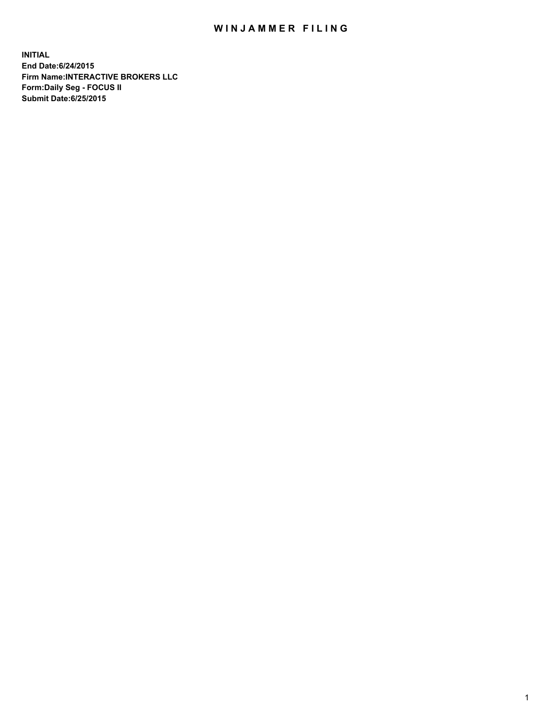## WIN JAMMER FILING

**INITIAL End Date:6/24/2015 Firm Name:INTERACTIVE BROKERS LLC Form:Daily Seg - FOCUS II Submit Date:6/25/2015**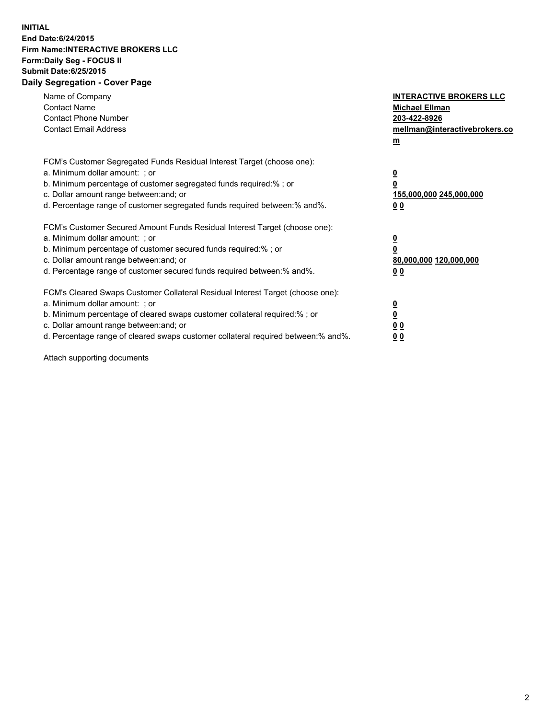## **INITIAL End Date:6/24/2015 Firm Name:INTERACTIVE BROKERS LLC Form:Daily Seg - FOCUS II Submit Date:6/25/2015 Daily Segregation - Cover Page**

| Name of Company<br><b>Contact Name</b><br><b>Contact Phone Number</b><br><b>Contact Email Address</b>                                                                                                                                                                                                                          | <b>INTERACTIVE BROKERS LLC</b><br><b>Michael Ellman</b><br>203-422-8926<br>mellman@interactivebrokers.co<br>$m$ |
|--------------------------------------------------------------------------------------------------------------------------------------------------------------------------------------------------------------------------------------------------------------------------------------------------------------------------------|-----------------------------------------------------------------------------------------------------------------|
| FCM's Customer Segregated Funds Residual Interest Target (choose one):<br>a. Minimum dollar amount: ; or<br>b. Minimum percentage of customer segregated funds required:% ; or<br>c. Dollar amount range between: and; or<br>d. Percentage range of customer segregated funds required between: % and %.                       | $\overline{\mathbf{0}}$<br>0<br>155,000,000 245,000,000<br>00                                                   |
| FCM's Customer Secured Amount Funds Residual Interest Target (choose one):<br>a. Minimum dollar amount: ; or<br>b. Minimum percentage of customer secured funds required:%; or<br>c. Dollar amount range between: and; or<br>d. Percentage range of customer secured funds required between: % and %.                          | $\overline{\mathbf{0}}$<br>0<br>80,000,000 120,000,000<br>0 <sub>0</sub>                                        |
| FCM's Cleared Swaps Customer Collateral Residual Interest Target (choose one):<br>a. Minimum dollar amount: ; or<br>b. Minimum percentage of cleared swaps customer collateral required:% ; or<br>c. Dollar amount range between: and; or<br>d. Percentage range of cleared swaps customer collateral required between:% and%. | $\overline{\mathbf{0}}$<br>$\underline{\mathbf{0}}$<br>0 <sub>0</sub><br>0 <sub>0</sub>                         |

Attach supporting documents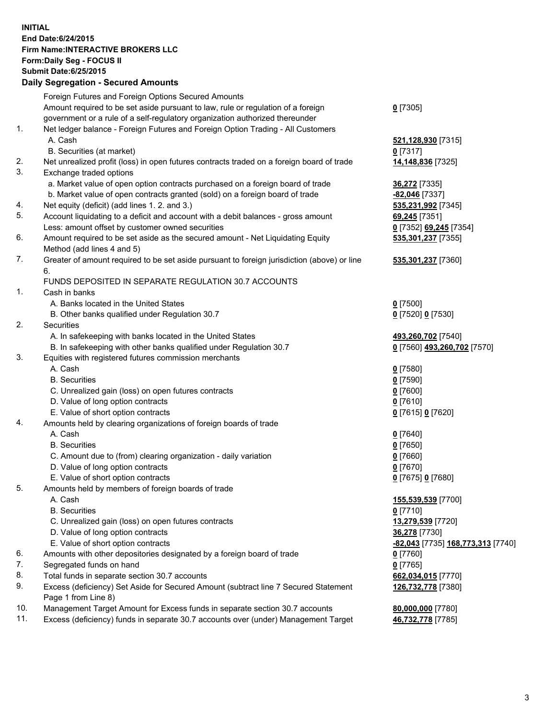## **INITIAL End Date:6/24/2015 Firm Name:INTERACTIVE BROKERS LLC Form:Daily Seg - FOCUS II Submit Date:6/25/2015 Daily Segregation - Secured Amounts**

|                | Daily Jegregation - Jeculed Aniounts                                                                         |                                   |
|----------------|--------------------------------------------------------------------------------------------------------------|-----------------------------------|
|                | Foreign Futures and Foreign Options Secured Amounts                                                          |                                   |
|                | Amount required to be set aside pursuant to law, rule or regulation of a foreign                             | $0$ [7305]                        |
|                | government or a rule of a self-regulatory organization authorized thereunder                                 |                                   |
| 1.             | Net ledger balance - Foreign Futures and Foreign Option Trading - All Customers                              |                                   |
|                | A. Cash                                                                                                      | 521,128,930 [7315]                |
|                | B. Securities (at market)                                                                                    | $0$ [7317]                        |
| 2.             | Net unrealized profit (loss) in open futures contracts traded on a foreign board of trade                    | 14,148,836 [7325]                 |
| 3.             | Exchange traded options                                                                                      |                                   |
|                | a. Market value of open option contracts purchased on a foreign board of trade                               | <b>36,272</b> [7335]              |
|                | b. Market value of open contracts granted (sold) on a foreign board of trade                                 | -82,046 [7337]                    |
| 4.             | Net equity (deficit) (add lines 1. 2. and 3.)                                                                | 535,231,992 [7345]                |
| 5.             | Account liquidating to a deficit and account with a debit balances - gross amount                            | 69,245 [7351]                     |
|                | Less: amount offset by customer owned securities                                                             |                                   |
| 6.             |                                                                                                              | 0 [7352] 69,245 [7354]            |
|                | Amount required to be set aside as the secured amount - Net Liquidating Equity<br>Method (add lines 4 and 5) | 535,301,237 [7355]                |
| 7.             |                                                                                                              |                                   |
|                | Greater of amount required to be set aside pursuant to foreign jurisdiction (above) or line<br>6.            | 535,301,237 [7360]                |
|                | FUNDS DEPOSITED IN SEPARATE REGULATION 30.7 ACCOUNTS                                                         |                                   |
| $\mathbf{1}$ . |                                                                                                              |                                   |
|                | Cash in banks                                                                                                |                                   |
|                | A. Banks located in the United States                                                                        | $0$ [7500]                        |
|                | B. Other banks qualified under Regulation 30.7                                                               | 0 [7520] 0 [7530]                 |
| 2.             | Securities                                                                                                   |                                   |
|                | A. In safekeeping with banks located in the United States                                                    | 493,260,702 [7540]                |
|                | B. In safekeeping with other banks qualified under Regulation 30.7                                           | 0 [7560] 493,260,702 [7570]       |
| 3.             | Equities with registered futures commission merchants                                                        |                                   |
|                | A. Cash                                                                                                      | $0$ [7580]                        |
|                | <b>B.</b> Securities                                                                                         | $0$ [7590]                        |
|                | C. Unrealized gain (loss) on open futures contracts                                                          | $0$ [7600]                        |
|                | D. Value of long option contracts                                                                            | $0$ [7610]                        |
|                | E. Value of short option contracts                                                                           | 0 [7615] 0 [7620]                 |
| 4.             | Amounts held by clearing organizations of foreign boards of trade                                            |                                   |
|                | A. Cash                                                                                                      | $0$ [7640]                        |
|                | <b>B.</b> Securities                                                                                         | $0$ [7650]                        |
|                | C. Amount due to (from) clearing organization - daily variation                                              | $0$ [7660]                        |
|                | D. Value of long option contracts                                                                            | $0$ [7670]                        |
|                | E. Value of short option contracts                                                                           | 0 [7675] 0 [7680]                 |
| 5.             | Amounts held by members of foreign boards of trade                                                           |                                   |
|                | A. Cash                                                                                                      | 155,539,539 [7700]                |
|                | <b>B.</b> Securities                                                                                         | $0$ [7710]                        |
|                | C. Unrealized gain (loss) on open futures contracts                                                          | 13,279,539 [7720]                 |
|                | D. Value of long option contracts                                                                            | 36,278 [7730]                     |
|                | E. Value of short option contracts                                                                           | -82,043 [7735] 168,773,313 [7740] |
| 6.             | Amounts with other depositories designated by a foreign board of trade                                       | 0 [7760]                          |
| 7.             | Segregated funds on hand                                                                                     | $0$ [7765]                        |
| 8.             | Total funds in separate section 30.7 accounts                                                                | 662,034,015 [7770]                |
| 9.             | Excess (deficiency) Set Aside for Secured Amount (subtract line 7 Secured Statement                          | 126,732,778 [7380]                |
|                | Page 1 from Line 8)                                                                                          |                                   |
| 10.            | Management Target Amount for Excess funds in separate section 30.7 accounts                                  | 80,000,000 [7780]                 |
| 11.            | Excess (deficiency) funds in separate 30.7 accounts over (under) Management Target                           | 46,732,778 [7785]                 |
|                |                                                                                                              |                                   |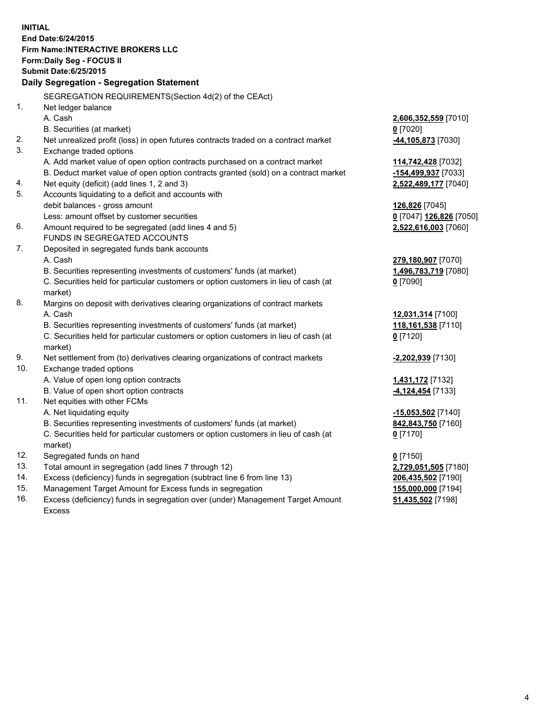**INITIAL End Date:6/24/2015 Firm Name:INTERACTIVE BROKERS LLC Form:Daily Seg - FOCUS II Submit Date:6/25/2015 Daily Segregation - Segregation Statement** SEGREGATION REQUIREMENTS(Section 4d(2) of the CEAct) 1. Net ledger balance A. Cash **2,606,352,559** [7010] B. Securities (at market) **0** [7020] 2. Net unrealized profit (loss) in open futures contracts traded on a contract market **-44,105,873** [7030] 3. Exchange traded options A. Add market value of open option contracts purchased on a contract market **114,742,428** [7032] B. Deduct market value of open option contracts granted (sold) on a contract market **-154,499,937** [7033] 4. Net equity (deficit) (add lines 1, 2 and 3) **2,522,489,177** [7040] 5. Accounts liquidating to a deficit and accounts with debit balances - gross amount **126,826** [7045] Less: amount offset by customer securities **0** [7047] **126,826** [7050] 6. Amount required to be segregated (add lines 4 and 5) **2,522,616,003** [7060] FUNDS IN SEGREGATED ACCOUNTS 7. Deposited in segregated funds bank accounts A. Cash **279,180,907** [7070] B. Securities representing investments of customers' funds (at market) **1,496,783,719** [7080] C. Securities held for particular customers or option customers in lieu of cash (at market) **0** [7090] 8. Margins on deposit with derivatives clearing organizations of contract markets A. Cash **12,031,314** [7100] B. Securities representing investments of customers' funds (at market) **118,161,538** [7110] C. Securities held for particular customers or option customers in lieu of cash (at market) **0** [7120] 9. Net settlement from (to) derivatives clearing organizations of contract markets **-2,202,939** [7130] 10. Exchange traded options A. Value of open long option contracts **1,431,172** [7132] B. Value of open short option contracts **-4,124,454** [7133] 11. Net equities with other FCMs A. Net liquidating equity **-15,053,502** [7140] B. Securities representing investments of customers' funds (at market) **842,843,750** [7160] C. Securities held for particular customers or option customers in lieu of cash (at market) **0** [7170] 12. Segregated funds on hand **0** [7150] 13. Total amount in segregation (add lines 7 through 12) **2,729,051,505** [7180] 14. Excess (deficiency) funds in segregation (subtract line 6 from line 13) **206,435,502** [7190] 15. Management Target Amount for Excess funds in segregation **155,000,000** [7194]

16. Excess (deficiency) funds in segregation over (under) Management Target Amount Excess

**51,435,502** [7198]